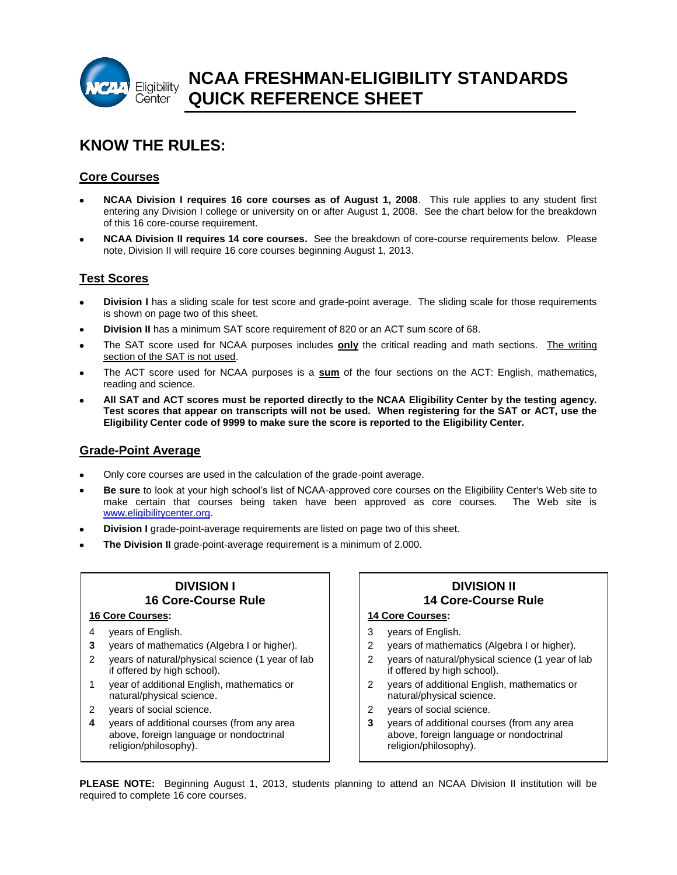

# **KNOW THE RULES:**

# **Core Courses**

- **NCAA Division I requires 16 core courses as of August 1, 2008**. This rule applies to any student first entering any Division I college or university on or after August 1, 2008. See the chart below for the breakdown of this 16 core-course requirement.
- **NCAA Division II requires 14 core courses.** See the breakdown of core-course requirements below. Please note, Division II will require 16 core courses beginning August 1, 2013.

### **Test Scores**

- **Division I** has a sliding scale for test score and grade-point average. The sliding scale for those requirements is shown on page two of this sheet.
- **Division II** has a minimum SAT score requirement of 820 or an ACT sum score of 68.
- The SAT score used for NCAA purposes includes **only** the critical reading and math sections. The writing section of the SAT is not used.
- The ACT score used for NCAA purposes is a **sum** of the four sections on the ACT: English, mathematics, reading and science.
- **All SAT and ACT scores must be reported directly to the NCAA Eligibility Center by the testing agency. Test scores that appear on transcripts will not be used. When registering for the SAT or ACT, use the Eligibility Center code of 9999 to make sure the score is reported to the Eligibility Center.**

### **Grade-Point Average**

- Only core courses are used in the calculation of the grade-point average.
- **Be sure** to look at your high school's list of NCAA-approved core courses on the Eligibility Center's Web site to make certain that courses being taken have been approved as core courses. The Web site is [www.eligibilitycenter.org.](http://www.eligibilitycenter.org/)
- **Division I** grade-point-average requirements are listed on page two of this sheet.
- **The Division II** grade-point-average requirement is a minimum of 2.000.

# **DIVISION I 16 Core-Course Rule**

#### **16 Core Courses:**

- 4 years of English.
- **3** years of mathematics (Algebra I or higher).
- 2 years of natural/physical science (1 year of lab if offered by high school).
- 1 year of additional English, mathematics or natural/physical science.
- 2 years of social science.
- **4** years of additional courses (from any area above, foreign language or nondoctrinal religion/philosophy).

# **DIVISION II 14 Core-Course Rule**

#### **14 Core Courses:**

- 3 years of English.
- 2 years of mathematics (Algebra I or higher).
- 2 years of natural/physical science (1 year of lab if offered by high school).
- 2 years of additional English, mathematics or natural/physical science.
- 2 years of social science.
- **3** years of additional courses (from any area above, foreign language or nondoctrinal religion/philosophy).

**PLEASE NOTE:** Beginning August 1, 2013, students planning to attend an NCAA Division II institution will be required to complete 16 core courses.